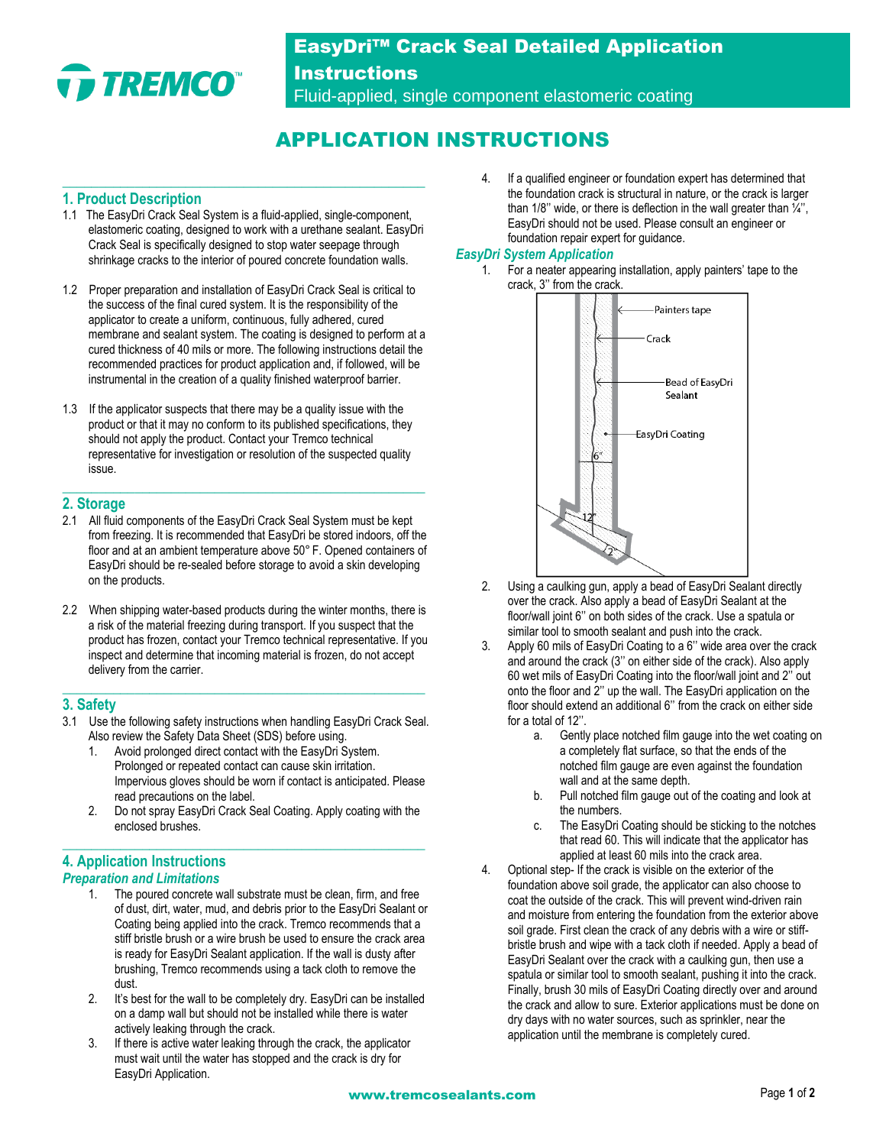

## EasyDri™ Crack Seal Detailed Application

**Instructions** Fluid-applied, single component elastomeric coating

## APPLICATION INSTRUCTIONS

### **1. Product Description**

1.1 The EasyDri Crack Seal System is a fluid-applied, single-component, elastomeric coating, designed to work with a urethane sealant. EasyDri Crack Seal is specifically designed to stop water seepage through shrinkage cracks to the interior of poured concrete foundation walls.

**\_\_\_\_\_\_\_\_\_\_\_\_\_\_\_\_\_\_\_\_\_\_\_\_\_\_\_\_\_\_\_\_\_\_\_\_\_\_\_\_\_\_\_\_\_\_\_\_\_\_**

- 1.2 Proper preparation and installation of EasyDri Crack Seal is critical to the success of the final cured system. It is the responsibility of the applicator to create a uniform, continuous, fully adhered, cured membrane and sealant system. The coating is designed to perform at a cured thickness of 40 mils or more. The following instructions detail the recommended practices for product application and, if followed, will be instrumental in the creation of a quality finished waterproof barrier.
- 1.3 If the applicator suspects that there may be a quality issue with the product or that it may no conform to its published specifications, they should not apply the product. Contact your Tremco technical representative for investigation or resolution of the suspected quality issue.

**\_\_\_\_\_\_\_\_\_\_\_\_\_\_\_\_\_\_\_\_\_\_\_\_\_\_\_\_\_\_\_\_\_\_\_\_\_\_\_\_\_\_\_\_\_\_\_\_\_\_**

### **2. Storage**

- 2.1 All fluid components of the EasyDri Crack Seal System must be kept from freezing. It is recommended that EasyDri be stored indoors, off the floor and at an ambient temperature above 50° F. Opened containers of EasyDri should be re-sealed before storage to avoid a skin developing on the products.
- 2.2 When shipping water-based products during the winter months, there is a risk of the material freezing during transport. If you suspect that the product has frozen, contact your Tremco technical representative. If you inspect and determine that incoming material is frozen, do not accept delivery from the carrier.

### **3. Safety**

3.1 Use the following safety instructions when handling EasyDri Crack Seal. Also review the Safety Data Sheet (SDS) before using.

**\_\_\_\_\_\_\_\_\_\_\_\_\_\_\_\_\_\_\_\_\_\_\_\_\_\_\_\_\_\_\_\_\_\_\_\_\_\_\_\_\_\_\_\_\_\_\_\_\_\_**

- 1. Avoid prolonged direct contact with the EasyDri System. Prolonged or repeated contact can cause skin irritation. Impervious gloves should be worn if contact is anticipated. Please read precautions on the label.
- 2. Do not spray EasyDri Crack Seal Coating. Apply coating with the enclosed brushes.

**\_\_\_\_\_\_\_\_\_\_\_\_\_\_\_\_\_\_\_\_\_\_\_\_\_\_\_\_\_\_\_\_\_\_\_\_\_\_\_\_\_\_\_\_\_\_\_\_\_\_**

# **4. Application Instructions**

### *Preparation and Limitations*

- 1. The poured concrete wall substrate must be clean, firm, and free of dust, dirt, water, mud, and debris prior to the EasyDri Sealant or Coating being applied into the crack. Tremco recommends that a stiff bristle brush or a wire brush be used to ensure the crack area is ready for EasyDri Sealant application. If the wall is dusty after brushing, Tremco recommends using a tack cloth to remove the dust.
- 2. It's best for the wall to be completely dry. EasyDri can be installed on a damp wall but should not be installed while there is water actively leaking through the crack.
- 3. If there is active water leaking through the crack, the applicator must wait until the water has stopped and the crack is dry for EasyDri Application.

4. If a qualified engineer or foundation expert has determined that the foundation crack is structural in nature, or the crack is larger than 1/8" wide, or there is deflection in the wall greater than  $\frac{1}{4}$ ", EasyDri should not be used. Please consult an engineer or foundation repair expert for guidance.

### *EasyDri System Application*

1. For a neater appearing installation, apply painters' tape to the crack, 3'' from the crack.



- 2. Using a caulking gun, apply a bead of EasyDri Sealant directly over the crack. Also apply a bead of EasyDri Sealant at the floor/wall joint 6'' on both sides of the crack. Use a spatula or similar tool to smooth sealant and push into the crack.
- Apply 60 mils of EasyDri Coating to a 6" wide area over the crack and around the crack (3'' on either side of the crack). Also apply 60 wet mils of EasyDri Coating into the floor/wall joint and 2'' out onto the floor and 2'' up the wall. The EasyDri application on the floor should extend an additional 6'' from the crack on either side for a total of 12''.
	- a. Gently place notched film gauge into the wet coating on a completely flat surface, so that the ends of the notched film gauge are even against the foundation wall and at the same depth.
	- b. Pull notched film gauge out of the coating and look at the numbers.
	- c. The EasyDri Coating should be sticking to the notches that read 60. This will indicate that the applicator has applied at least 60 mils into the crack area.
- 4. Optional step- If the crack is visible on the exterior of the foundation above soil grade, the applicator can also choose to coat the outside of the crack. This will prevent wind-driven rain and moisture from entering the foundation from the exterior above soil grade. First clean the crack of any debris with a wire or stiffbristle brush and wipe with a tack cloth if needed. Apply a bead of EasyDri Sealant over the crack with a caulking gun, then use a spatula or similar tool to smooth sealant, pushing it into the crack. Finally, brush 30 mils of EasyDri Coating directly over and around the crack and allow to sure. Exterior applications must be done on dry days with no water sources, such as sprinkler, near the application until the membrane is completely cured.